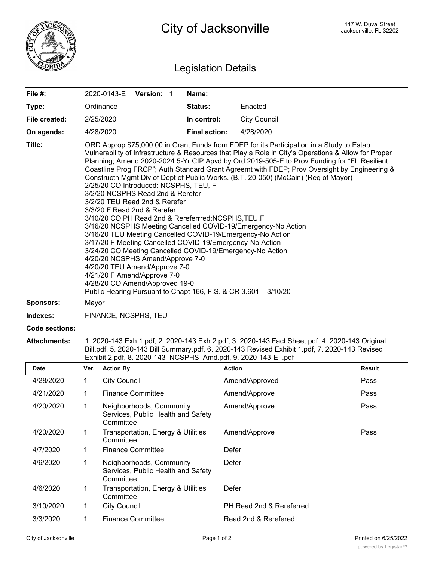

## Legislation Details

| File #:          | 2020-0143-E                                                                                                                                                                                                                                                                                                                                                                                                                                                                                                                                                                                                                                                                                                                                                                                                                                                                                                                                                                                                                                                                                                                                                  | Version: 1 |  | Name:                |                     |  |
|------------------|--------------------------------------------------------------------------------------------------------------------------------------------------------------------------------------------------------------------------------------------------------------------------------------------------------------------------------------------------------------------------------------------------------------------------------------------------------------------------------------------------------------------------------------------------------------------------------------------------------------------------------------------------------------------------------------------------------------------------------------------------------------------------------------------------------------------------------------------------------------------------------------------------------------------------------------------------------------------------------------------------------------------------------------------------------------------------------------------------------------------------------------------------------------|------------|--|----------------------|---------------------|--|
| Type:            | Ordinance                                                                                                                                                                                                                                                                                                                                                                                                                                                                                                                                                                                                                                                                                                                                                                                                                                                                                                                                                                                                                                                                                                                                                    |            |  | <b>Status:</b>       | Enacted             |  |
| File created:    | 2/25/2020                                                                                                                                                                                                                                                                                                                                                                                                                                                                                                                                                                                                                                                                                                                                                                                                                                                                                                                                                                                                                                                                                                                                                    |            |  | In control:          | <b>City Council</b> |  |
| On agenda:       | 4/28/2020                                                                                                                                                                                                                                                                                                                                                                                                                                                                                                                                                                                                                                                                                                                                                                                                                                                                                                                                                                                                                                                                                                                                                    |            |  | <b>Final action:</b> | 4/28/2020           |  |
| Title:           | ORD Approp \$75,000.00 in Grant Funds from FDEP for its Participation in a Study to Estab<br>Vulnerability of Infrastructure & Resources that Play a Role in City's Operations & Allow for Proper<br>Planning; Amend 2020-2024 5-Yr CIP Apvd by Ord 2019-505-E to Prov Funding for "FL Resilient<br>Coastline Prog FRCP"; Auth Standard Grant Agreemt with FDEP; Prov Oversight by Engineering &<br>Constructn Mgmt Div of Dept of Public Works. (B.T. 20-050) (McCain) (Req of Mayor)<br>2/25/20 CO Introduced: NCSPHS, TEU, F<br>3/2/20 NCSPHS Read 2nd & Rerefer<br>3/2/20 TEU Read 2nd & Rerefer<br>3/3/20 F Read 2nd & Rerefer<br>3/10/20 CO PH Read 2nd & Rereferrred; NCSPHS, TEU, F<br>3/16/20 NCSPHS Meeting Cancelled COVID-19/Emergency-No Action<br>3/16/20 TEU Meeting Cancelled COVID-19/Emergency-No Action<br>3/17/20 F Meeting Cancelled COVID-19/Emergency-No Action<br>3/24/20 CO Meeting Cancelled COVID-19/Emergency-No Action<br>4/20/20 NCSPHS Amend/Approve 7-0<br>4/20/20 TEU Amend/Approve 7-0<br>4/21/20 F Amend/Approve 7-0<br>4/28/20 CO Amend/Approved 19-0<br>Public Hearing Pursuant to Chapt 166, F.S. & CR 3.601 - 3/10/20 |            |  |                      |                     |  |
| <b>Sponsors:</b> | Mayor                                                                                                                                                                                                                                                                                                                                                                                                                                                                                                                                                                                                                                                                                                                                                                                                                                                                                                                                                                                                                                                                                                                                                        |            |  |                      |                     |  |
| Indexes:         | FINANCE, NCSPHS, TEU                                                                                                                                                                                                                                                                                                                                                                                                                                                                                                                                                                                                                                                                                                                                                                                                                                                                                                                                                                                                                                                                                                                                         |            |  |                      |                     |  |
| Code sections:   |                                                                                                                                                                                                                                                                                                                                                                                                                                                                                                                                                                                                                                                                                                                                                                                                                                                                                                                                                                                                                                                                                                                                                              |            |  |                      |                     |  |

**Attachments:** 1. 2020-143 Exh 1.pdf, 2. 2020-143 Exh 2.pdf, 3. 2020-143 Fact Sheet.pdf, 4. 2020-143 Original Bill.pdf, 5. 2020-143 Bill Summary.pdf, 6. 2020-143 Revised Exhibit 1.pdf, 7. 2020-143 Revised Exhibit 2.pdf, 8. 2020-143\_NCSPHS\_Amd.pdf, 9. 2020-143-E\_.pdf

| <b>Date</b> | Ver. | <b>Action By</b>                                                            | <b>Action</b>            | <b>Result</b> |
|-------------|------|-----------------------------------------------------------------------------|--------------------------|---------------|
| 4/28/2020   | 1    | <b>City Council</b>                                                         | Amend/Approved           | Pass          |
| 4/21/2020   | 1    | <b>Finance Committee</b>                                                    | Amend/Approve            | Pass          |
| 4/20/2020   | 1    | Neighborhoods, Community<br>Services, Public Health and Safety<br>Committee | Amend/Approve            | Pass          |
| 4/20/2020   | 1    | Transportation, Energy & Utilities<br>Committee                             | Amend/Approve            | Pass          |
| 4/7/2020    | 1    | <b>Finance Committee</b>                                                    | Defer                    |               |
| 4/6/2020    | 1    | Neighborhoods, Community<br>Services, Public Health and Safety<br>Committee | Defer                    |               |
| 4/6/2020    | 1    | Transportation, Energy & Utilities<br>Committee                             | Defer                    |               |
| 3/10/2020   |      | <b>City Council</b>                                                         | PH Read 2nd & Rereferred |               |
| 3/3/2020    |      | <b>Finance Committee</b>                                                    | Read 2nd & Rerefered     |               |